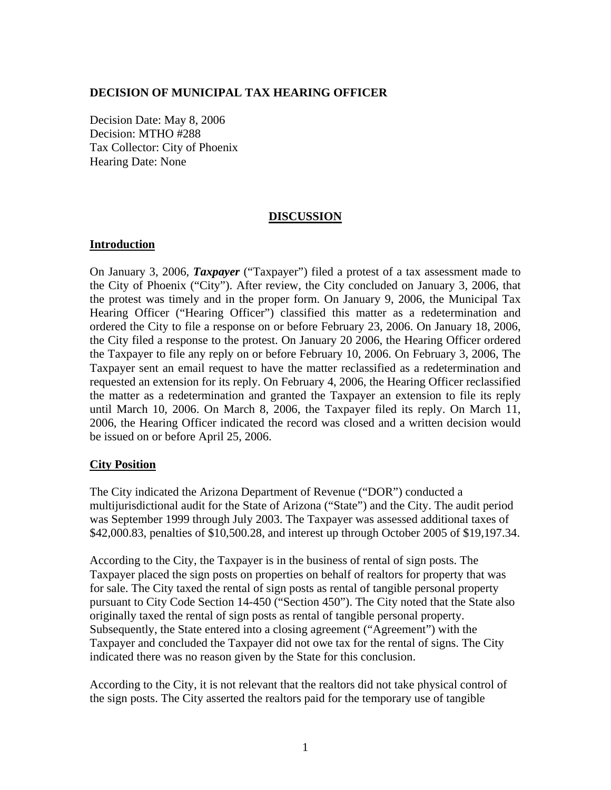### **DECISION OF MUNICIPAL TAX HEARING OFFICER**

Decision Date: May 8, 2006 Decision: MTHO #288 Tax Collector: City of Phoenix Hearing Date: None

### **DISCUSSION**

### **Introduction**

On January 3, 2006, *Taxpayer* ("Taxpayer") filed a protest of a tax assessment made to the City of Phoenix ("City"). After review, the City concluded on January 3, 2006, that the protest was timely and in the proper form. On January 9, 2006, the Municipal Tax Hearing Officer ("Hearing Officer") classified this matter as a redetermination and ordered the City to file a response on or before February 23, 2006. On January 18, 2006, the City filed a response to the protest. On January 20 2006, the Hearing Officer ordered the Taxpayer to file any reply on or before February 10, 2006. On February 3, 2006, The Taxpayer sent an email request to have the matter reclassified as a redetermination and requested an extension for its reply. On February 4, 2006, the Hearing Officer reclassified the matter as a redetermination and granted the Taxpayer an extension to file its reply until March 10, 2006. On March 8, 2006, the Taxpayer filed its reply. On March 11, 2006, the Hearing Officer indicated the record was closed and a written decision would be issued on or before April 25, 2006.

# **City Position**

The City indicated the Arizona Department of Revenue ("DOR") conducted a multijurisdictional audit for the State of Arizona ("State") and the City. The audit period was September 1999 through July 2003. The Taxpayer was assessed additional taxes of \$42,000.83, penalties of \$10,500.28, and interest up through October 2005 of \$19,197.34.

According to the City, the Taxpayer is in the business of rental of sign posts. The Taxpayer placed the sign posts on properties on behalf of realtors for property that was for sale. The City taxed the rental of sign posts as rental of tangible personal property pursuant to City Code Section 14-450 ("Section 450"). The City noted that the State also originally taxed the rental of sign posts as rental of tangible personal property. Subsequently, the State entered into a closing agreement ("Agreement") with the Taxpayer and concluded the Taxpayer did not owe tax for the rental of signs. The City indicated there was no reason given by the State for this conclusion.

According to the City, it is not relevant that the realtors did not take physical control of the sign posts. The City asserted the realtors paid for the temporary use of tangible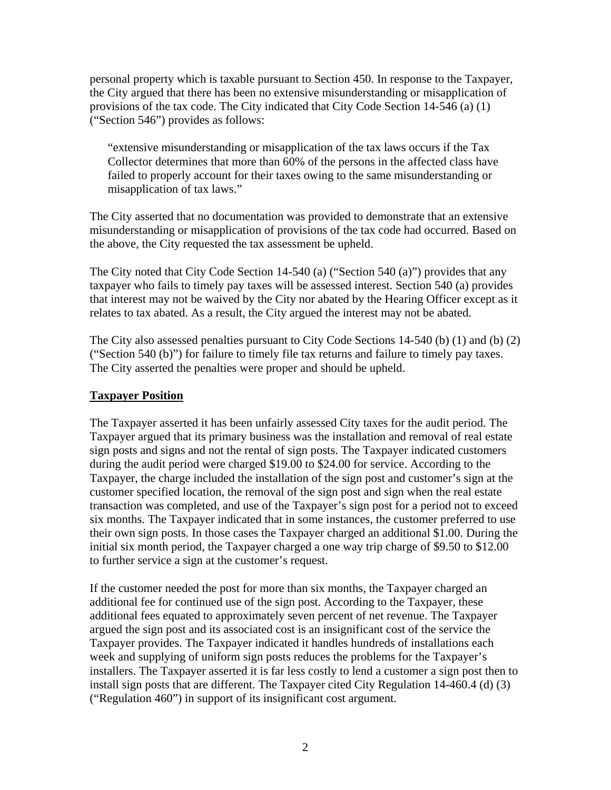personal property which is taxable pursuant to Section 450. In response to the Taxpayer, the City argued that there has been no extensive misunderstanding or misapplication of provisions of the tax code. The City indicated that City Code Section 14-546 (a) (1) ("Section 546") provides as follows:

"extensive misunderstanding or misapplication of the tax laws occurs if the Tax Collector determines that more than 60% of the persons in the affected class have failed to properly account for their taxes owing to the same misunderstanding or misapplication of tax laws."

The City asserted that no documentation was provided to demonstrate that an extensive misunderstanding or misapplication of provisions of the tax code had occurred. Based on the above, the City requested the tax assessment be upheld.

The City noted that City Code Section 14-540 (a) ("Section 540 (a)") provides that any taxpayer who fails to timely pay taxes will be assessed interest. Section 540 (a) provides that interest may not be waived by the City nor abated by the Hearing Officer except as it relates to tax abated. As a result, the City argued the interest may not be abated.

The City also assessed penalties pursuant to City Code Sections 14-540 (b) (1) and (b) (2) ("Section 540 (b)") for failure to timely file tax returns and failure to timely pay taxes. The City asserted the penalties were proper and should be upheld.

# **Taxpayer Position**

The Taxpayer asserted it has been unfairly assessed City taxes for the audit period. The Taxpayer argued that its primary business was the installation and removal of real estate sign posts and signs and not the rental of sign posts. The Taxpayer indicated customers during the audit period were charged \$19.00 to \$24.00 for service. According to the Taxpayer, the charge included the installation of the sign post and customer's sign at the customer specified location, the removal of the sign post and sign when the real estate transaction was completed, and use of the Taxpayer's sign post for a period not to exceed six months. The Taxpayer indicated that in some instances, the customer preferred to use their own sign posts. In those cases the Taxpayer charged an additional \$1.00. During the initial six month period, the Taxpayer charged a one way trip charge of \$9.50 to \$12.00 to further service a sign at the customer's request.

If the customer needed the post for more than six months, the Taxpayer charged an additional fee for continued use of the sign post. According to the Taxpayer, these additional fees equated to approximately seven percent of net revenue. The Taxpayer argued the sign post and its associated cost is an insignificant cost of the service the Taxpayer provides. The Taxpayer indicated it handles hundreds of installations each week and supplying of uniform sign posts reduces the problems for the Taxpayer's installers. The Taxpayer asserted it is far less costly to lend a customer a sign post then to install sign posts that are different. The Taxpayer cited City Regulation 14-460.4 (d) (3) ("Regulation 460") in support of its insignificant cost argument.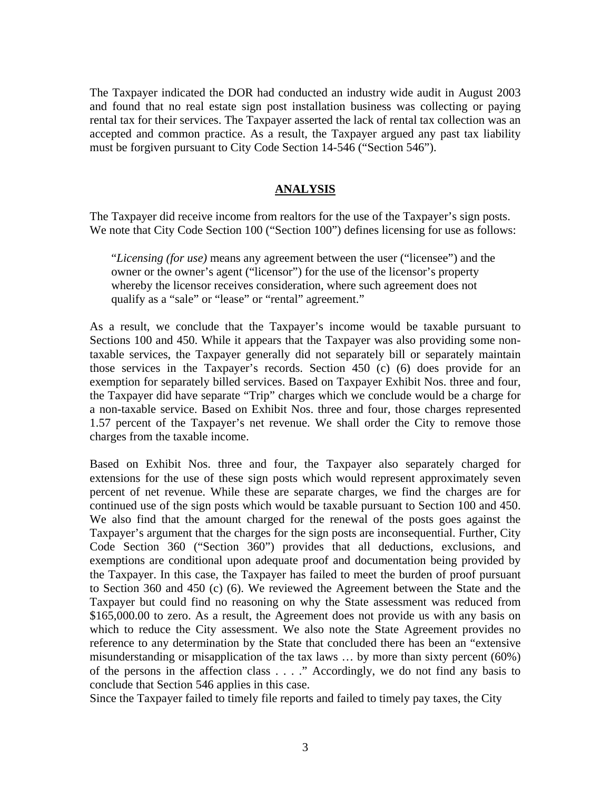The Taxpayer indicated the DOR had conducted an industry wide audit in August 2003 and found that no real estate sign post installation business was collecting or paying rental tax for their services. The Taxpayer asserted the lack of rental tax collection was an accepted and common practice. As a result, the Taxpayer argued any past tax liability must be forgiven pursuant to City Code Section 14-546 ("Section 546").

### **ANALYSIS**

The Taxpayer did receive income from realtors for the use of the Taxpayer's sign posts. We note that City Code Section 100 ("Section 100") defines licensing for use as follows:

"*Licensing (for use)* means any agreement between the user ("licensee") and the owner or the owner's agent ("licensor") for the use of the licensor's property whereby the licensor receives consideration, where such agreement does not qualify as a "sale" or "lease" or "rental" agreement."

As a result, we conclude that the Taxpayer's income would be taxable pursuant to Sections 100 and 450. While it appears that the Taxpayer was also providing some nontaxable services, the Taxpayer generally did not separately bill or separately maintain those services in the Taxpayer's records. Section 450 (c) (6) does provide for an exemption for separately billed services. Based on Taxpayer Exhibit Nos. three and four, the Taxpayer did have separate "Trip" charges which we conclude would be a charge for a non-taxable service. Based on Exhibit Nos. three and four, those charges represented 1.57 percent of the Taxpayer's net revenue. We shall order the City to remove those charges from the taxable income.

Based on Exhibit Nos. three and four, the Taxpayer also separately charged for extensions for the use of these sign posts which would represent approximately seven percent of net revenue. While these are separate charges, we find the charges are for continued use of the sign posts which would be taxable pursuant to Section 100 and 450. We also find that the amount charged for the renewal of the posts goes against the Taxpayer's argument that the charges for the sign posts are inconsequential. Further, City Code Section 360 ("Section 360") provides that all deductions, exclusions, and exemptions are conditional upon adequate proof and documentation being provided by the Taxpayer. In this case, the Taxpayer has failed to meet the burden of proof pursuant to Section 360 and 450 (c) (6). We reviewed the Agreement between the State and the Taxpayer but could find no reasoning on why the State assessment was reduced from \$165,000.00 to zero. As a result, the Agreement does not provide us with any basis on which to reduce the City assessment. We also note the State Agreement provides no reference to any determination by the State that concluded there has been an "extensive misunderstanding or misapplication of the tax laws … by more than sixty percent (60%) of the persons in the affection class . . . ." Accordingly, we do not find any basis to conclude that Section 546 applies in this case.

Since the Taxpayer failed to timely file reports and failed to timely pay taxes, the City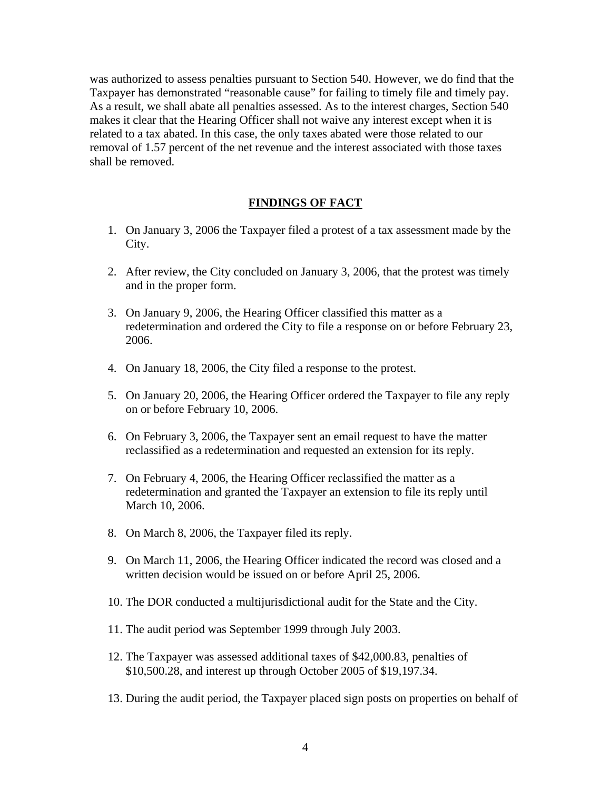was authorized to assess penalties pursuant to Section 540. However, we do find that the Taxpayer has demonstrated "reasonable cause" for failing to timely file and timely pay. As a result, we shall abate all penalties assessed. As to the interest charges, Section 540 makes it clear that the Hearing Officer shall not waive any interest except when it is related to a tax abated. In this case, the only taxes abated were those related to our removal of 1.57 percent of the net revenue and the interest associated with those taxes shall be removed.

### **FINDINGS OF FACT**

- 1. On January 3, 2006 the Taxpayer filed a protest of a tax assessment made by the City.
- 2. After review, the City concluded on January 3, 2006, that the protest was timely and in the proper form.
- 3. On January 9, 2006, the Hearing Officer classified this matter as a redetermination and ordered the City to file a response on or before February 23, 2006.
- 4. On January 18, 2006, the City filed a response to the protest.
- 5. On January 20, 2006, the Hearing Officer ordered the Taxpayer to file any reply on or before February 10, 2006.
- 6. On February 3, 2006, the Taxpayer sent an email request to have the matter reclassified as a redetermination and requested an extension for its reply.
- 7. On February 4, 2006, the Hearing Officer reclassified the matter as a redetermination and granted the Taxpayer an extension to file its reply until March 10, 2006.
- 8. On March 8, 2006, the Taxpayer filed its reply.
- 9. On March 11, 2006, the Hearing Officer indicated the record was closed and a written decision would be issued on or before April 25, 2006.
- 10. The DOR conducted a multijurisdictional audit for the State and the City.
- 11. The audit period was September 1999 through July 2003.
- 12. The Taxpayer was assessed additional taxes of \$42,000.83, penalties of \$10,500.28, and interest up through October 2005 of \$19,197.34.
- 13. During the audit period, the Taxpayer placed sign posts on properties on behalf of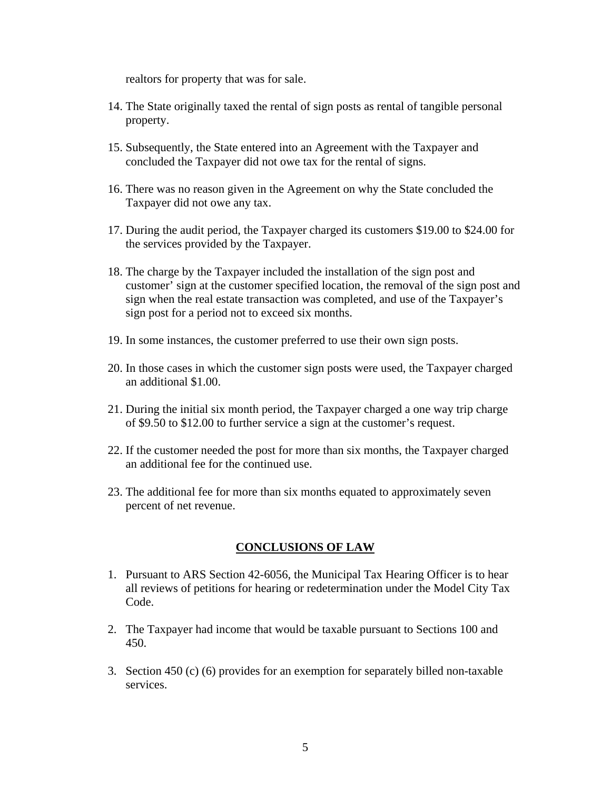realtors for property that was for sale.

- 14. The State originally taxed the rental of sign posts as rental of tangible personal property.
- 15. Subsequently, the State entered into an Agreement with the Taxpayer and concluded the Taxpayer did not owe tax for the rental of signs.
- 16. There was no reason given in the Agreement on why the State concluded the Taxpayer did not owe any tax.
- 17. During the audit period, the Taxpayer charged its customers \$19.00 to \$24.00 for the services provided by the Taxpayer.
- 18. The charge by the Taxpayer included the installation of the sign post and customer' sign at the customer specified location, the removal of the sign post and sign when the real estate transaction was completed, and use of the Taxpayer's sign post for a period not to exceed six months.
- 19. In some instances, the customer preferred to use their own sign posts.
- 20. In those cases in which the customer sign posts were used, the Taxpayer charged an additional \$1.00.
- 21. During the initial six month period, the Taxpayer charged a one way trip charge of \$9.50 to \$12.00 to further service a sign at the customer's request.
- 22. If the customer needed the post for more than six months, the Taxpayer charged an additional fee for the continued use.
- 23. The additional fee for more than six months equated to approximately seven percent of net revenue.

#### **CONCLUSIONS OF LAW**

- 1. Pursuant to ARS Section 42-6056, the Municipal Tax Hearing Officer is to hear all reviews of petitions for hearing or redetermination under the Model City Tax Code.
- 2. The Taxpayer had income that would be taxable pursuant to Sections 100 and 450.
- 3. Section 450 (c) (6) provides for an exemption for separately billed non-taxable services.